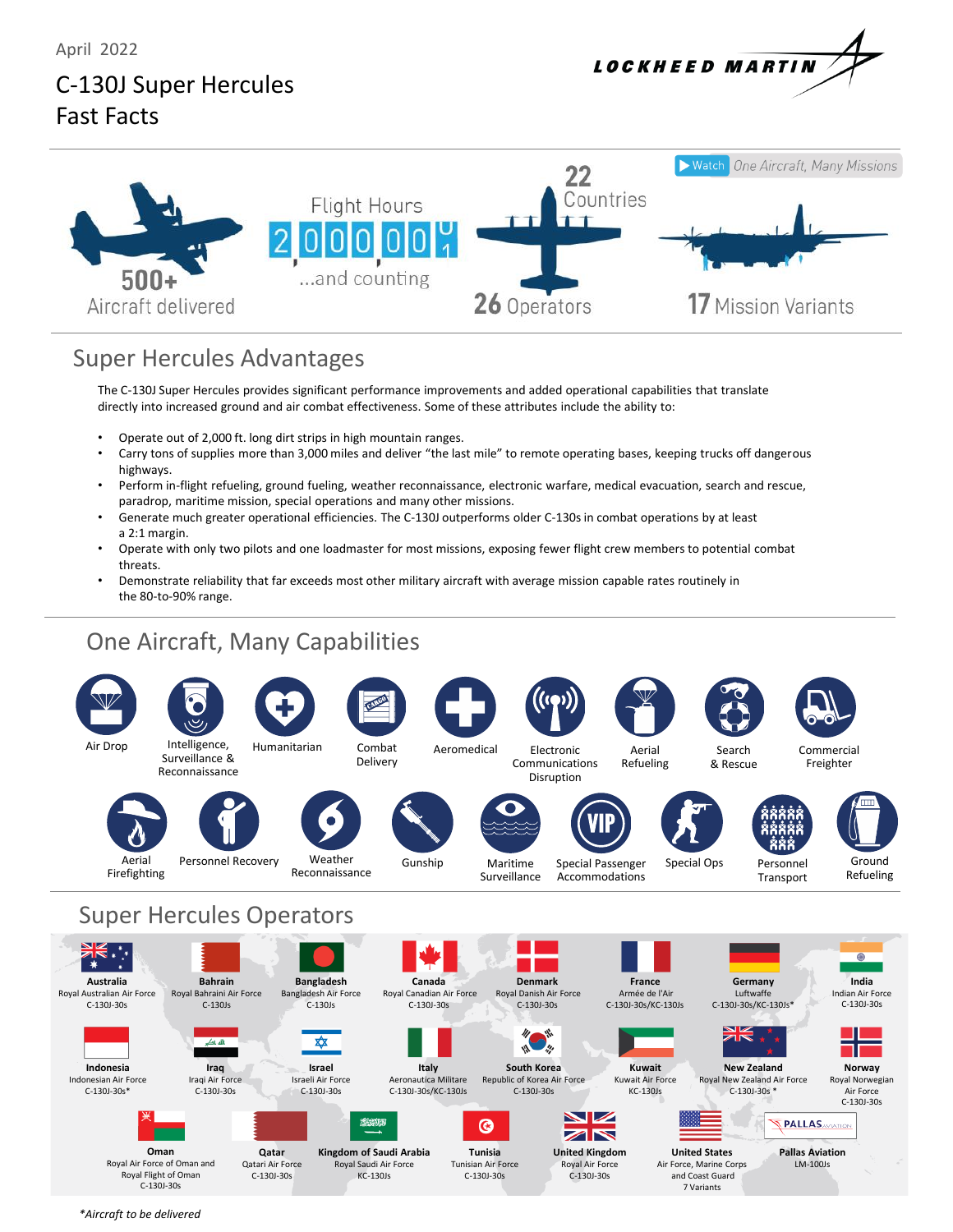April 2022

# **LOCKHEED MARTIN**

## C-130J Super Hercules Fast Facts



### Super Hercules Advantages

The C-130J Super Hercules provides significant performance improvements and added operational capabilities that translate directly into increased ground and air combat effectiveness. Some of these attributes include the ability to:

- Operate out of 2,000 ft. long dirt strips in high mountain ranges.<br>• Carry tons of sunnlies more than 3,000 miles and deliver "the last
- Carry tons of supplies more than 3,000 miles and deliver "the last mile" to remote operating bases, keeping trucks off dangerous highways.
- Perform in-flight refueling, ground fueling, weather reconnaissance, electronic warfare, medical evacuation, search and rescue, paradrop, maritime mission, special operations and many other missions.
- Generate much greater operational efficiencies. The C-130J outperforms older C-130s in combat operations by at least a 2:1 margin.
- Operate with only two pilots and one loadmaster for most missions, exposing fewer flight crew members to potential combat threats.
- Demonstrate reliability that far exceeds most other military aircraft with average mission capable rates routinely in the 80-to-90% range.

## One Aircraft, Many Capabilities



*\*Aircraft to be delivered*